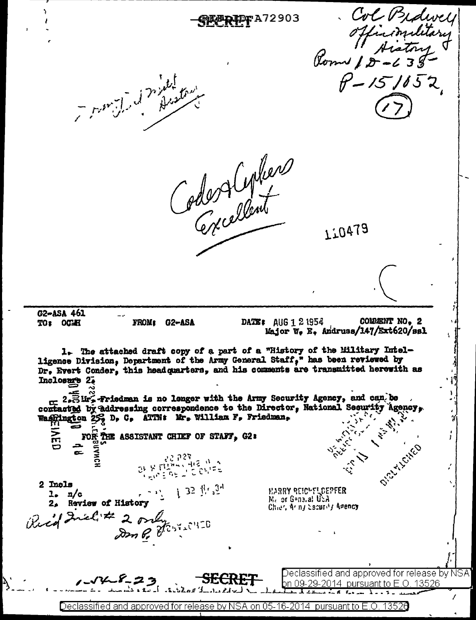

Declassified and approved for release by NSA on 05-16-2014 pursuant to E.O. 13526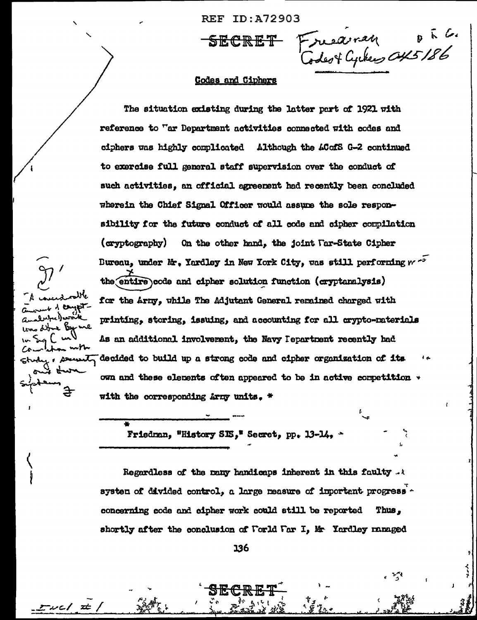REF ID:A72903

SECRET Freedman of L.

### **Codes and Ciphers**

The situation existing during the latter part of 1921 with reference to "ar Department activities connected with codes and ciphers was highly complicated Although the ACofS G-2 continued to exercise full general staff supervision over the conduct of such activities, an official agreement had recently been concluded wherein the Chief Signal Officer would assume the sole responsibility for the future conduct of all code and cipher compilation (eryptography) On the other hand, the joint Tar-State Cipher Bureau, under Mr. Yardley in New York City, was still performing weather the entire code and cipher solution function (cryptanalysis) for the Arny, while The Adjutant General remained charged with printing, storing, issuing, and accounting for all crypto-materials As an additional involverent, the Navy Iepartnent recently had decided to build up a strong code and cipher organization of its , semit own and these elements often appeared to be in active competition  $\ast$ with the corresponding Army units. \*

Friedman, "History SIS," Secret, pp. 13-14, "

أحسن با بدابرد)) مەتەنگ

トー いれ

エルニノー 士

لمنكاسه لتعمد

Regardless of the many handicaps inherent in this faulty  $\ldots$ system of divided control, a large measure of important progress concerning code and oipher work could still be reported Thus. shortly after the conclusion of Forld Far I, Mr Yardley managed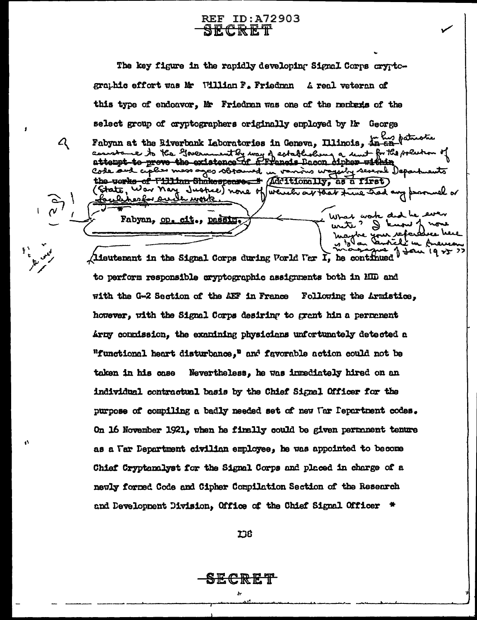**REF ID:A72903** <u>SECRET</u>

 $\mathcal{L}_{\mathcal{L}_{\mathcal{L}}}$ 

The key figure in the rapidly developing Signal Corps cryptcgraphic effort was Mr William F. Friedman A real veteran of this type of endoavor, Mr Friedran was one of the nembaxis of the select group of cryptographers originally employed by Hr George Fabyan at the Biverbank Laboratories in Geneva, Illinois, in the faturation assistance to the Government by way of establishing a unit for the politic Code and ciples mess ages sbramed in vanins wageiby several Depart works of Fillian Shakespeare. \* (Additionally, as a first) State, War Nay Justice) none of which ar that time had any p <u>wavk</u> ده . What work Fabyan, op. cit., passing ے لاہ م (lieutenant in the Signal Corps during Porld Far I, he continued ) is  $\sqrt{2}$ 

to perform responsible cryptographic assignments both in HID and with the G-2 Section of the AEF in France Following the Armistice, however, with the Signal Corps desiring to grant him a permanent Army countssion, the examining physicians unfortunately detected a "functional heart disturbance," and favorable action could not be taken in his case Nevertheless, he was inmediately hired on an individual contractual basis by the Chief Signal Officer for the purpose of compiling a badly needed set of new Uar Department codes. On 16 November 1921, when he finally could be given permanent tenure as a Far Department civilian employee, he was appointed to become Chief Cryptonalyst for the Signal Corps and placed in charge of a newly formed Code and Cipher Compilation Section of the Research and Development Division, Office of the Chief Signal Officer \*

**ICE** 

<del>SECRET</del>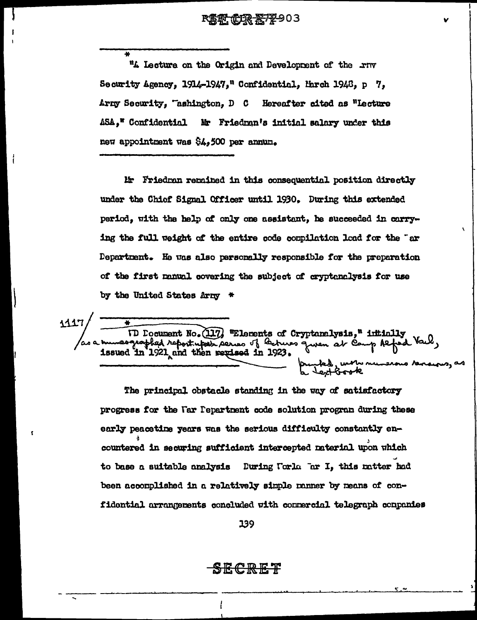### R怎取, 但R 恶7平903

"A Lecture on the Origin and Development of the rnv Security Agency, 1914-1947," Confidential, March 1948, p 7, Army Security, "ashington, D C Hereafter cited as "Lecture ASA," Confidential Mr Friedman's initial salary under this new appointment was \$4,500 per annum.

Mr Friedran rerained in this consequential position directly under the Chief Signal Officer until 1930. During this extended period. with the help of only one assistant. he succeeded in carrying the full weight of the entire code compilation load for the "ar Department. He was also personally responsible for the preparation of the first manual covering the subject of cryptenelysis for use by the United States Army \*

1117 as a hunesquappled report who (117) "Elements of Cryptanelysis," intitally as a hunesquappled report upon series of lectures queen at Comp Refed ed, with numerous verse

The principal obstacle standing in the way of satisfactory progress for the Far Pepartment code solution program during these early peacetine years was the serious difficulty constantly encountered in securing sufficient intercepted material upon which to base a suitable analysis Euring Forla Far I, this ratter had been accomplished in a relatively simple ranner by means of confidential arrangements concluded with connercial telegraph conpanies

139

)ECKET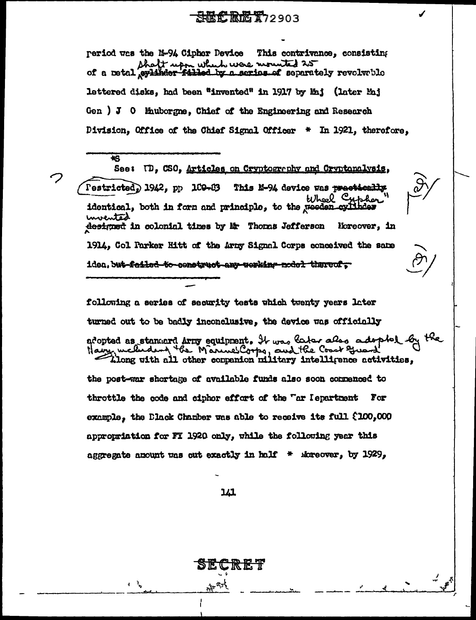## **SREC REC X72903**

period was the N-94 Cipher Device This contrivance, consisting shaft upon which were normited 25 lettered disks, had been "invented" in 1917 by Maj (later Maj Gen ) J 0 Muborgne, Chief of the Engineering and Research Division, Office of the Chief Signal Officer \* In 1921, therefore,

 $\overline{\textbf{t}}$ See: U., CSO, Articles on Cryptography and Cryptonalysis, Pestricted, 1942, pp 109-83 This M-94 device was prectically Wheel Cypher identical, both in form and principle, to the reeden cyli uvented designed in colonial times by Mr Thomas Jefferson Moreover, in 1914, Col Parker Hitt of the Army Signal Corps conceived the same iden, but failed to censtruct any werking nodel thereof,

following a series of security tests which twenty years later turned out to be badly inconclusive, the device was officially adopted as standard Arry equipment. It was later also adopted by Many, medidant the Manuel Corps, and the Coast Great

the post-war shortage of available funds also soon cornenced to throttle the code and ciphor effort of the "ar Iepartment For example, the Dlack Chamber was able to receive its full (100,000 appropriation for FI 1920 only, while the following year this aggregate amount was cut exactly in half  $*$  improver, by 1929,

141

न है।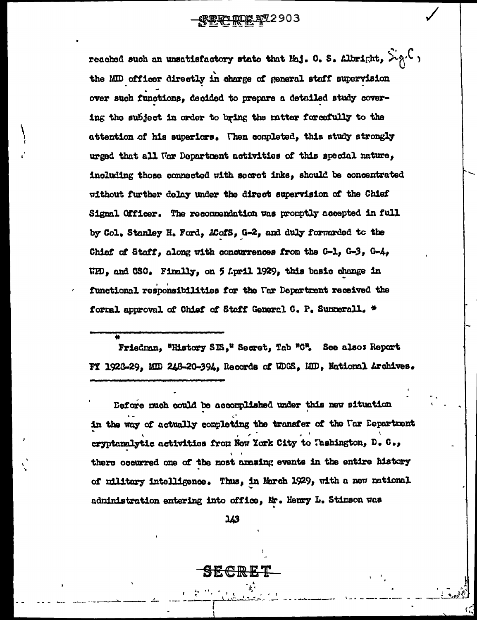**FERE ROE AT 2903** 

reached such an unsatisfactory state that Maj. 0. S. Albright,  $\mathcal{L}_{\beta}(\mathcal{C})$ the MID officer directly in charge of general staff supervision over such functions, decided to prepare a detailed study covering the subject in order to bring the matter forcefully to the attention of his superiors. Then completed, this study strongly urged that all War Department activities of this special nature, including those connected with secret inks, should be concentrated without further delay under the direct supervision of the Chief Signal Officer. The recommendation was promptly accepted in full by Col. Stanley H. Ford, ACofS, G-2, and duly forwarded to the Chief of Staff, along with concurrences from the G-1, G-3, G-4, WPD, and CSO. Finally, on 5 April 1929, this basic change in functional responsibilities for the Far Department received the formal approval of Chief of Staff General C. P. Summerall. \*

Friedman, "History SIS," Secret, Tab "C". See also: Report FY 1926-29, MID 248-20-394, Records of WDGS, MID, National Archives.

Defore much could be accomplished under this new situation in the way of actually completing the transfer of the Uar Department eryptanalytic activities from Now York City to Tashington, D. C., there occurred one of the most amazing events in the entire history of military intelligence. Thus, in March 1929, with a new national administration entering into office, Mr. Henry L. Stimson was

143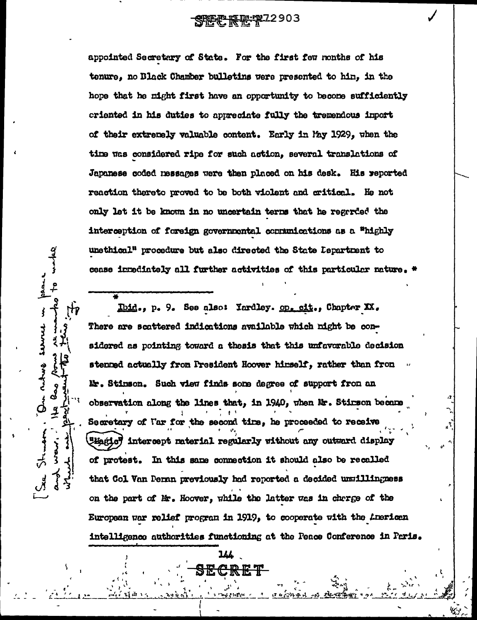appointed Secretary of State. For the first few months of his tenure, no Black Chamber bulletins were presented to hin, in the hope that he might first have an opportunity to become sufficiently criented in his duties to appreciate fully the tremendous inport of their extremely valuable content. Early in May 1929, when the time was considered ripe for such action, several translations of Japanese coded messages were then placed on his desk. His reported reaction thereto proved to be both violent and critical. He not only let it be known in no uncertain terns that he regarded the interception of foreign governmental communications as a "highly unsthical" procedure but also directed the State Lepartment to cease innediately all further activities of this particular nature.

Ibid., p. 9. See also: Yardley. op. cit., Chapter XX. There are scattered indications available which night be considered as pointing toward a thesis that this unfavorable decision stenned actually from President Hoover himself, rather than from Mr. Stinson. Such view finds some degree of support from an observation along the lines that, in 1940, when Mr. Stirson became Secretary of I'ar for the second time, he proceeded to receive Weigte" intercept material regularly without any outward display of protest. In this same connection it should also be recalled that Col Van Denan previously had reported a decided unuillingness on the part of Mr. Hoover, while the latter was in charge of the European war relief program in 1919, to cooperate with the American intelligence authorities functioning at the Peace Conference in Paris.

lll

R E T

 $H_{\mathbf{F}}$ 

همالمه

 $\frac{q}{2}$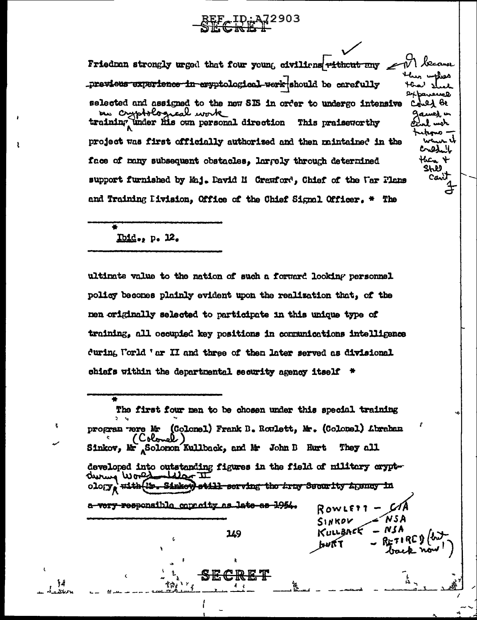# $2^{10}$   $^{12}_{\odot}$   $^{12}_{\odot}$   $^{2903}_{\odot}$

Leccuse Friedran strongly urged that four young civiliens ritheut any previeus experience in exyptological work should be carefully الا لمصالح **Dxbarewel** selected and assigned to the new SIS in order to undergo intensive ન્દર્મ ઉપ r, me cryptological work م هسه به training under his own personal direction This praiseworthy . اسمه project was first officially authorized and then mintained in the Credil then  $+$ face of may subsequent obstacles, larrely through determined Shli support furnished by Maj. David M Crewford, Chief of the Var Plans and Training Hivision, Office of the Chief Signal Officer. \* The

ä.

Canit

 $\frac{4}{\pi}$ 

## $Thid$ ., p. 12.</u>

١ś.

ultimate value to the nation of such a forward looking personnel policy becomes plainly evident upon the realization that, of the men originally selected to participate in this unique type of training, all occupied key positions in communications intelligence during Forld 'ar II and three of then later served as divisional chiefs within the departmental security agency itself \*

The first four men to be chosen under this special training program were Mr (Colonel) Frank B. Rowlett, Mr. (Colonel) Abraham (Colonel) Sinkov, Mr Solomon Kullback, and Mr John B Hurt **They all** developed into outstanding figures in the field of military cryptduring World still serving the tray Security Lysney in  $010(T_R)$ **To Sinkey Hith** a very responsible connectty as late as 1954. ROWLETT SINKOV n la KULLARCE 149 Å

ιy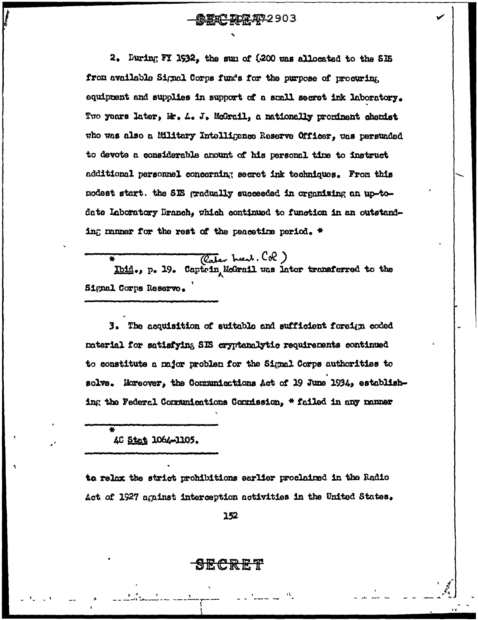### **ERC RDR 47-2903**

2. During FY 1932, the sun of \$200 was allocated to the SIS from available Signal Corps funds for the purpose of procuring equipment and supplies in support of a small secret ink laboratory. Two years later, Mr. A. J. McGrail, a nationally prominent chemist who was also a Military Intolligence Reserve Officer, was persuaded to devote a considerable anount of his personal time to instruct additional personnel concerning secret ink techniques. From this nodest start. the SIS gradually succeeded in organizing an up-todate Laboratory Branch, which continued to function in an outstanding manner for the rest of the peacetime period.  $\star$ 

(Cater heat, Col)<br>Ibid., p. 19. Captrin, McGrail was later transferred to the Signal Corps Reserve.

3. The acquisition of suitable and sufficient foreign coded naterial for satisfying SIS cryptanalytic requirements continued to constitute a major problem for the Signal Corps authorities to solve. Moreover, the Communications Act of 19 June 1934, establishing the Federal Communications Commission, \* failed in any nanner

40 Stat 1064-1105.

to relax the strict prohibitions earlier proclaimed in the Radio Act of 1927 against interception activities in the United States.

152

<del>SECRET</del>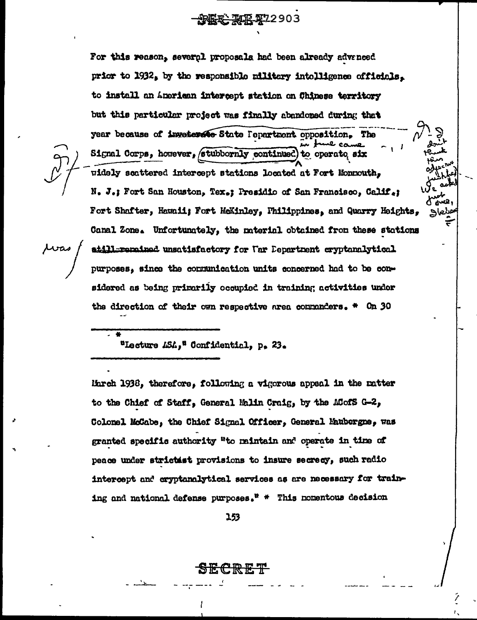**AL2903** 

For this reason, several proposals had been already advanced

prior to 1932, by the responsible military intolligence officials. to install an American intercept station on Chinese territory but this particular project was finally abandoned during that year because of inveterate State Pepartment opposition. The Signal Corps, however, stubbornly continued to operate six widely scattered intercept stations located at Fort Monnouth, N. J.; Fort San Houston, Tex.; Presidio of San Francisco, Calif.; Fort Shafter, Hawaii; Fort McKinley, Philippines, and Quarry Heights, Canal Zone. Unfortunately, the material obtained from these stations atill=rerained unsatisfactory for Uar Department cryptanalytical purposes, since the communication units concerned had to be considered as being primarily occupied in training activities under the direction of their own respective area commanders.  $*$  On 30

"Lecture LSA," Confidential, p. 23.

March 1938, therefore, following a vigorous appeal in the matter to the Chief of Staff, General Malin Craig, by the ACofS G-2, Colonel McCabe, the Chief Signal Officer, General Maubergne, was granted specific authority "to maintain and operate in time of peace under strictist provisions to insure secrecy, such radio intercept and cryptanalytical services as are necessary for training and national defense purposes."  $*$  This nomentous decision

153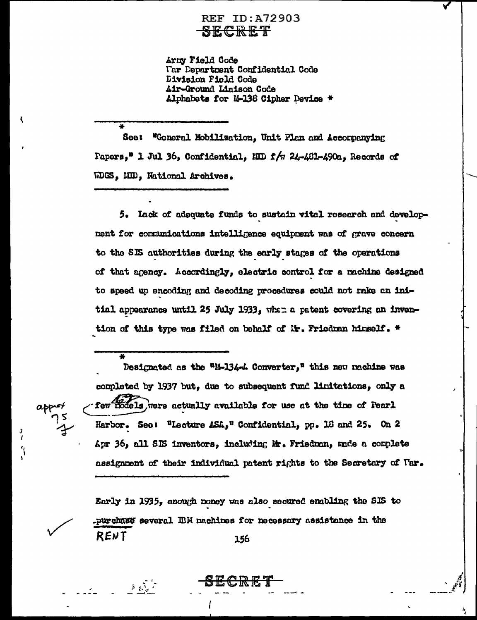### REF ID:A72903 SECRET

Arny Field Code **Tar Department Confidential Code** Division Field Code Air-Ground Linison Code Alphabats for 14-138 Cipher Device \*

See: "General Mobilization, Unit Plan and Accompanying Papers," 1 Jul 36, Confidential, MID f/w 24-461-490a, Records of WDGS, MD, National Archives.

5. Lack of adequate funds to sustain vital research and development for communications intelligence equipment was of grave concern to the SIS authorities during the early stages of the operations of that agency. Accordingly, electric control for a machine designed to speed up encoding and decoding procedures could not make an initial appearance until 25 July 1933, when a patent covering an invention of this type was filed on behalf of Mr. Friedman himself. \*

٬

Designated as the "M-134-4 Converter," this new machine was completed by 1937 but, due to subsequent fund limitations, only a few models, were actually available for use at the time of Pearl Harbor. See: "Lecture ASA," Confidential, pp. 18 and 25. On 2 Apr 36, all SIS inventors, including Mr. Friedman, made a complete assignment of their individual patent rights to the Secretary of Nar.

Early in 1935, enough money was also secured enabling the SIS to purchase several IBM machines for necessary assistance in the RENT 156

 $\mathcal{A}=\sum_{i=1}^{n}a_{i}$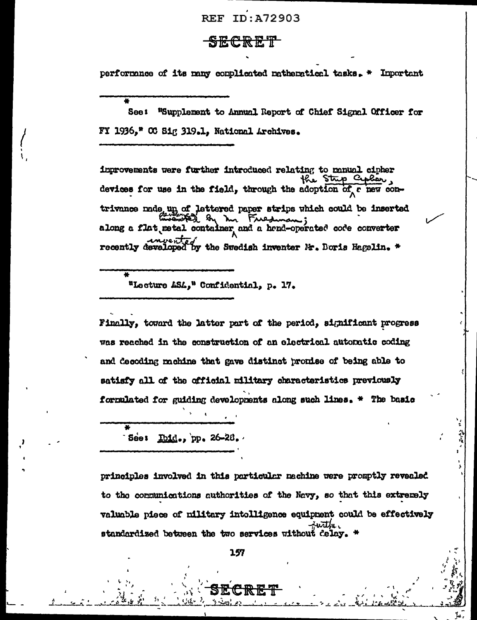### **REF ID:A72903**

### <del>SECRET</del>

performance of its many complicated mathematical tasks. \* Important

See: "Supplement to Annual Report of Chief Signal Officer for FY 1936," OC Sig 319.1, National Archives.

improvements were further introduced relating to manual cipher the Strip Cipler. devices for use in the field, through the adoption of c new contrivance nade un of lettered paper strips which could be inserted along a flat metal container and a hand-operated code converter recently developed by the Swedish inventer Mr. Doris Hagelin. \*

"Lecture ASA," Confidential, p. 17.

Finally, toward the latter part of the period, significant progress was reached in the construction of an electrical automatic coding and decoding mohine that gave distinct pronise of being able to satisfy all of the official military characteristics previously formulated for guiding developments along such lines. \* The basic

 $\bullet$ See:  $\underline{\text{Ind}}_{\bullet}$ , pp. 26-28.

principles involved in this particular mechine were promptly revealed to the communications authorities of the Navy, so that this extremely valuable piece of military intolligence equipment could be effectively standardized between the two services without delay.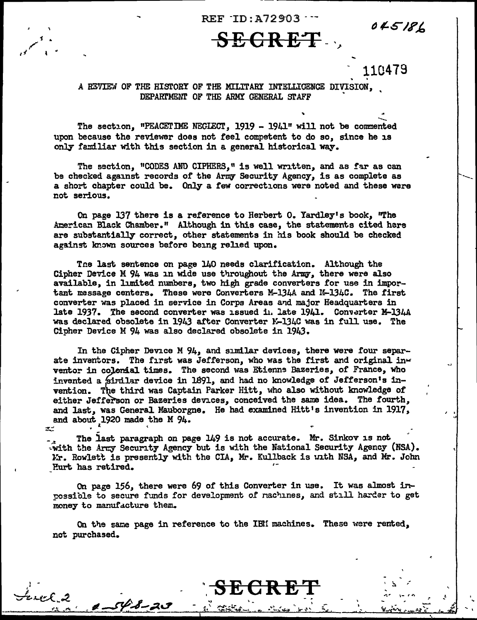$REF$   $ID: A72903$   $-$ 

# $SEGREF$

110479

045186

I > .,,  $\overline{\phantom{a}}$ ---

.

 $\vdash$ 

...

### A REVIEW OF THE HISTORY OF THE MILITARY INTELLIGENCE DIVISION, DEPARTMENT OF THE ARMY GENERAL STAFF

The section, "PEACETIME NEGIECT,  $1919 - 1941$ " will not be commented upon because the reviewer does not feel competent to do so, since he is only familiar with this section in a general historical way.

The section, "CODES AND CIPHERS," is well written, and as far as can be checked against records of the Army Security Agency, is as complete as a short chapter could be. Only a few corrections were noted and these were not serious.

On page 137 there is a reference to Herbert O. Yardley's book, "The American Black Chamber." Although in this case, the statements cited here are substantially correct, other statements in his book should be checked against known sources before being relied upon.

The last sentence on page 140 needs clarification. Although the Cipher Device M 94 was in wide use throughout the Army, there were also available, in limited numbers, two high grade converters for use in important message centers. These were Converters M-134A and M-134C. The first converter was placed in service in Corps Areas arid major Headquarters in late 1937. The second converter was issued in late 1941. Converter M-134A was declared obsolete in 1943 after Converter K-134C was in full use. The Cipher Device M 94 was also declared obsolete in 1943.

In the Cipher Device M  $94$ , and similar devices, there were four separate inventors. The first was Jefferson, who was the first and original inventor in colonial times. The second was Etienne Bazeries, of France, who invented a similar device in 1891, and had no knowledge of Jefferson's invention. The third was Captain Parker Hitt, who also without knowledge of either Jefferson or Bazeries devices, conceived the same idea. The fourth, and last, was General Mauborgne. He had examined Hitt's invention in 1917, and about 1920 made the M  $94.$ 

The last paragraph on page 149 is not accurate. Mr. Sinkov is not. with the Army Security Agency but is with the National Security Agency (NSA). Kr. Rowlett is presently with the CIA, Mr. Kullback is unth NSA, and Mr. John Purt has retired.

On page 156, there were 69 of this Converter in use. It was almost in rossible to secure funds for development of nachines, and still harder to get money to manufacture them.

On the same page in reference to the IBN machines. These were rented, not purchased.

- ~. \ ':'tf'...... l.:"~~-' ~-.. ...\_.:\_ 'lr ,., lid~-.., *1- ...* ee~~ ',(

~~.c\_e.{ .. ~ ~~--~~~~ ....... -~--.'------"~~~~ ~--;%.LI' ... .,, \ ... .,

I -